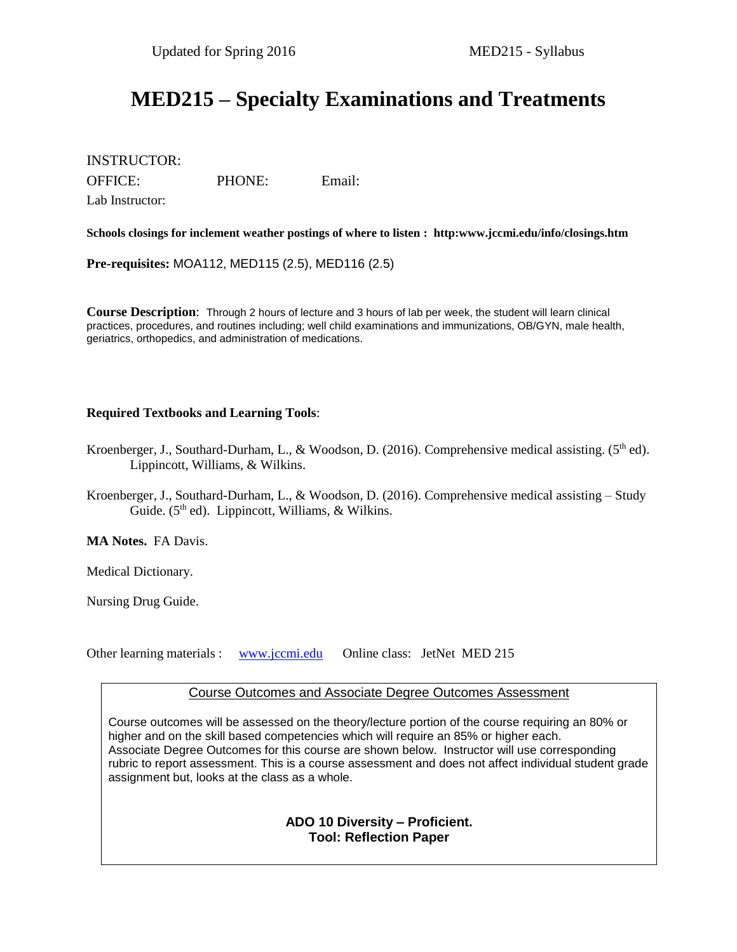# **MED215 – Specialty Examinations and Treatments**

INSTRUCTOR:

OFFICE: PHONE: Email:

Lab Instructor:

**Schools closings for inclement weather postings of where to listen : http:www.jccmi.edu/info/closings.htm**

**Pre-requisites:** MOA112, MED115 (2.5), MED116 (2.5)

**Course Description**: Through 2 hours of lecture and 3 hours of lab per week, the student will learn clinical practices, procedures, and routines including; well child examinations and immunizations, OB/GYN, male health, geriatrics, orthopedics, and administration of medications.

#### **Required Textbooks and Learning Tools**:

- Kroenberger, J., Southard-Durham, L., & Woodson, D. (2016). Comprehensive medical assisting. (5<sup>th</sup> ed). Lippincott, Williams, & Wilkins.
- Kroenberger, J., Southard-Durham, L., & Woodson, D. (2016). Comprehensive medical assisting Study Guide. (5<sup>th</sup> ed). Lippincott, Williams, & Wilkins.

**MA Notes.** FA Davis.

Medical Dictionary.

Nursing Drug Guide.

Other learning materials : [www.jccmi.edu](http://www.jccmi.edu/)  Online class: JetNet MED 215

Course Outcomes and Associate Degree Outcomes Assessment

Course outcomes will be assessed on the theory/lecture portion of the course requiring an 80% or higher and on the skill based competencies which will require an 85% or higher each. Associate Degree Outcomes for this course are shown below. Instructor will use corresponding rubric to report assessment. This is a course assessment and does not affect individual student grade assignment but, looks at the class as a whole.

#### **ADO 10 Diversity – Proficient. Tool: Reflection Paper**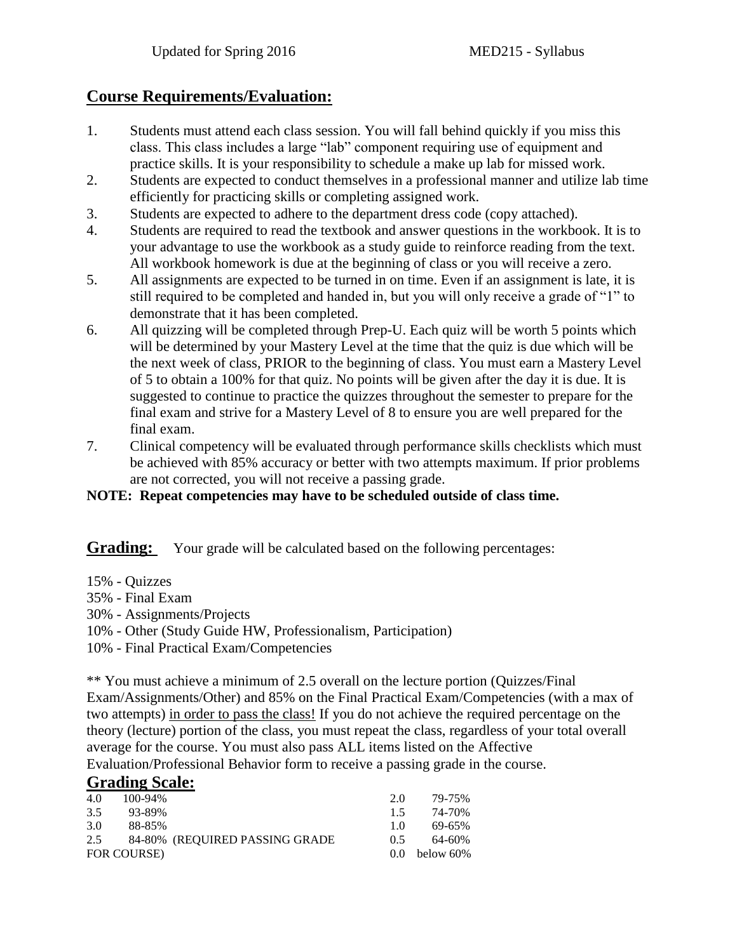# **Course Requirements/Evaluation:**

- 1. Students must attend each class session. You will fall behind quickly if you miss this class. This class includes a large "lab" component requiring use of equipment and practice skills. It is your responsibility to schedule a make up lab for missed work.
- 2. Students are expected to conduct themselves in a professional manner and utilize lab time efficiently for practicing skills or completing assigned work.
- 3. Students are expected to adhere to the department dress code (copy attached).
- 4. Students are required to read the textbook and answer questions in the workbook. It is to your advantage to use the workbook as a study guide to reinforce reading from the text. All workbook homework is due at the beginning of class or you will receive a zero.
- 5. All assignments are expected to be turned in on time. Even if an assignment is late, it is still required to be completed and handed in, but you will only receive a grade of "1" to demonstrate that it has been completed.
- 6. All quizzing will be completed through Prep-U. Each quiz will be worth 5 points which will be determined by your Mastery Level at the time that the quiz is due which will be the next week of class, PRIOR to the beginning of class. You must earn a Mastery Level of 5 to obtain a 100% for that quiz. No points will be given after the day it is due. It is suggested to continue to practice the quizzes throughout the semester to prepare for the final exam and strive for a Mastery Level of 8 to ensure you are well prepared for the final exam.
- 7. Clinical competency will be evaluated through performance skills checklists which must be achieved with 85% accuracy or better with two attempts maximum. If prior problems are not corrected, you will not receive a passing grade.

## **NOTE: Repeat competencies may have to be scheduled outside of class time.**

**Grading:** Your grade will be calculated based on the following percentages:

- 15% Quizzes
- 35% Final Exam
- 30% Assignments/Projects
- 10% Other (Study Guide HW, Professionalism, Participation)
- 10% Final Practical Exam/Competencies

\*\* You must achieve a minimum of 2.5 overall on the lecture portion (Quizzes/Final Exam/Assignments/Other) and 85% on the Final Practical Exam/Competencies (with a max of two attempts) in order to pass the class! If you do not achieve the required percentage on the theory (lecture) portion of the class, you must repeat the class, regardless of your total overall average for the course. You must also pass ALL items listed on the Affective Evaluation/Professional Behavior form to receive a passing grade in the course.

## **Grading Scale:**

| 4.0 | 100-94%     |                                | 20             | 79-75%          |
|-----|-------------|--------------------------------|----------------|-----------------|
| 3.5 | 93-89%      |                                | 15             | 74-70%          |
| 3.0 | 88-85%      |                                | 1 <sub>0</sub> | 69-65%          |
| 2.5 |             | 84-80% (REQUIRED PASSING GRADE | 05             | 64-60%          |
|     | FOR COURSE) |                                |                | $0.0$ below 60% |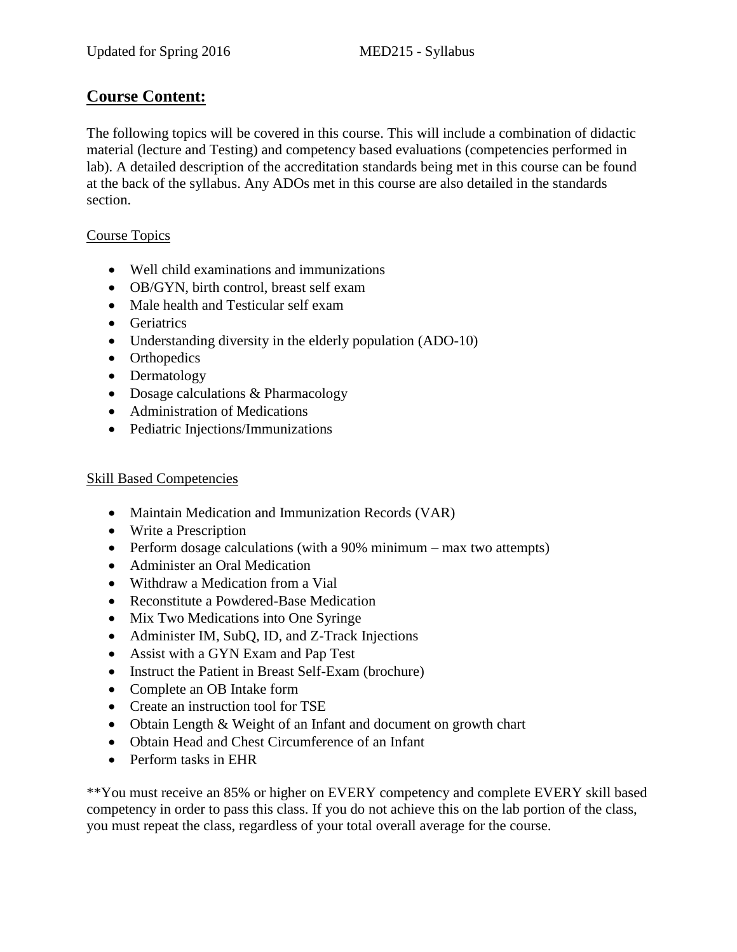## **Course Content:**

The following topics will be covered in this course. This will include a combination of didactic material (lecture and Testing) and competency based evaluations (competencies performed in lab). A detailed description of the accreditation standards being met in this course can be found at the back of the syllabus. Any ADOs met in this course are also detailed in the standards section.

## Course Topics

- Well child examinations and immunizations
- OB/GYN, birth control, breast self exam
- Male health and Testicular self exam
- Geriatrics
- Understanding diversity in the elderly population (ADO-10)
- Orthopedics
- Dermatology
- Dosage calculations & Pharmacology
- Administration of Medications
- Pediatric Injections/Immunizations

## Skill Based Competencies

- Maintain Medication and Immunization Records (VAR)
- Write a Prescription
- Perform dosage calculations (with a 90% minimum max two attempts)
- Administer an Oral Medication
- Withdraw a Medication from a Vial
- Reconstitute a Powdered-Base Medication
- Mix Two Medications into One Syringe
- Administer IM, SubQ, ID, and Z-Track Injections
- Assist with a GYN Exam and Pap Test
- Instruct the Patient in Breast Self-Exam (brochure)
- Complete an OB Intake form
- Create an instruction tool for TSE
- Obtain Length & Weight of an Infant and document on growth chart
- Obtain Head and Chest Circumference of an Infant
- Perform tasks in EHR

\*\*You must receive an 85% or higher on EVERY competency and complete EVERY skill based competency in order to pass this class. If you do not achieve this on the lab portion of the class, you must repeat the class, regardless of your total overall average for the course.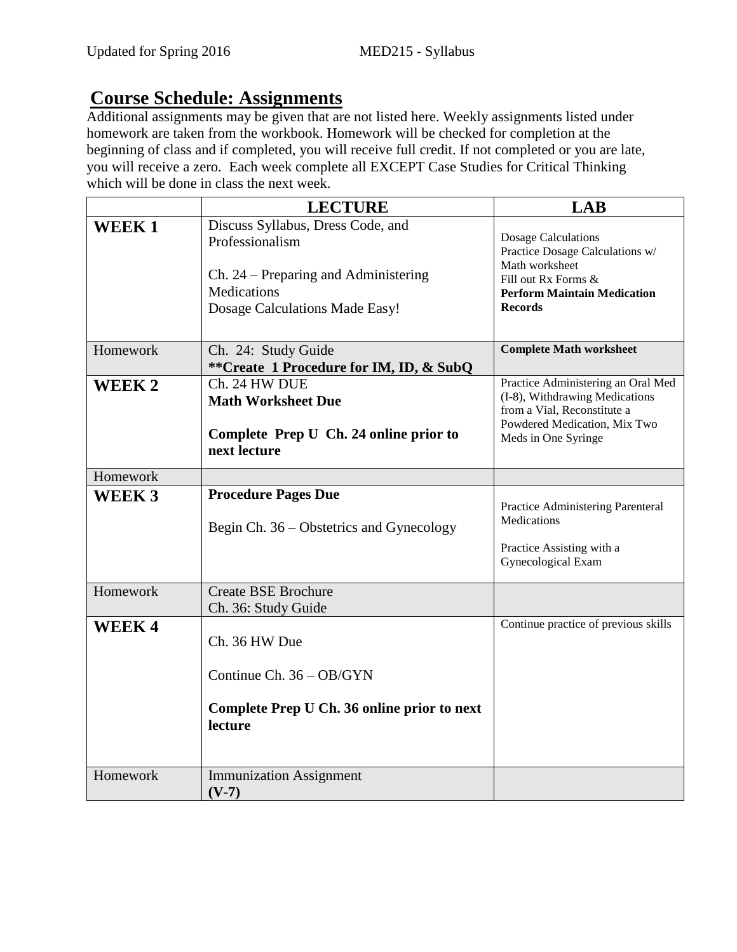# **Course Schedule: Assignments**

Additional assignments may be given that are not listed here. Weekly assignments listed under homework are taken from the workbook. Homework will be checked for completion at the beginning of class and if completed, you will receive full credit. If not completed or you are late, you will receive a zero. Each week complete all EXCEPT Case Studies for Critical Thinking which will be done in class the next week.

|              | <b>LECTURE</b>                                                                                                                                       | <b>LAB</b>                                                                                                                                                     |
|--------------|------------------------------------------------------------------------------------------------------------------------------------------------------|----------------------------------------------------------------------------------------------------------------------------------------------------------------|
| <b>WEEK1</b> | Discuss Syllabus, Dress Code, and<br>Professionalism<br>Ch. 24 – Preparing and Administering<br><b>Medications</b><br>Dosage Calculations Made Easy! | <b>Dosage Calculations</b><br>Practice Dosage Calculations w/<br>Math worksheet<br>Fill out Rx Forms &<br><b>Perform Maintain Medication</b><br><b>Records</b> |
| Homework     | Ch. 24: Study Guide<br>**Create 1 Procedure for IM, ID, & SubQ                                                                                       | <b>Complete Math worksheet</b>                                                                                                                                 |
| WEEK 2       | Ch. 24 HW DUE<br><b>Math Worksheet Due</b><br>Complete Prep U Ch. 24 online prior to<br>next lecture                                                 | Practice Administering an Oral Med<br>(I-8), Withdrawing Medications<br>from a Vial, Reconstitute a<br>Powdered Medication, Mix Two<br>Meds in One Syringe     |
| Homework     |                                                                                                                                                      |                                                                                                                                                                |
| <b>WEEK3</b> | <b>Procedure Pages Due</b><br>Begin Ch. 36 – Obstetrics and Gynecology                                                                               | Practice Administering Parenteral<br><b>Medications</b><br>Practice Assisting with a<br>Gynecological Exam                                                     |
| Homework     | <b>Create BSE Brochure</b><br>Ch. 36: Study Guide                                                                                                    |                                                                                                                                                                |
| <b>WEEK4</b> | Ch. 36 HW Due<br>Continue Ch. 36 - OB/GYN<br>Complete Prep U Ch. 36 online prior to next<br>lecture                                                  | Continue practice of previous skills                                                                                                                           |
| Homework     | <b>Immunization Assignment</b><br>$(V-7)$                                                                                                            |                                                                                                                                                                |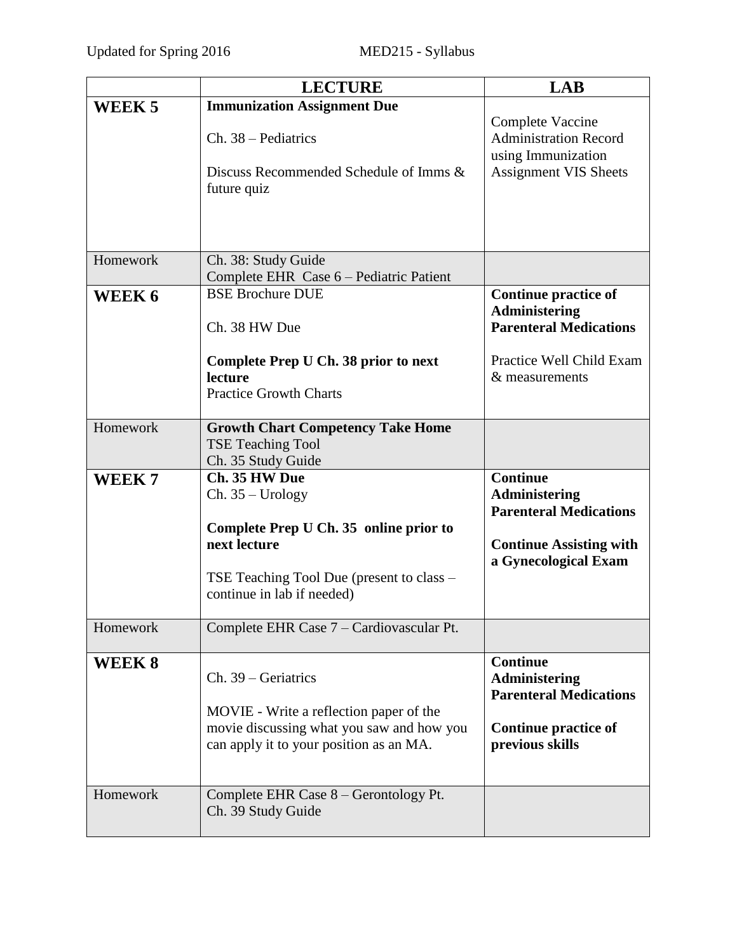|                   | <b>LECTURE</b>                                                                             | <b>LAB</b>                                                                                             |
|-------------------|--------------------------------------------------------------------------------------------|--------------------------------------------------------------------------------------------------------|
| WEEK <sub>5</sub> | <b>Immunization Assignment Due</b>                                                         |                                                                                                        |
|                   | Ch. 38 – Pediatrics<br>Discuss Recommended Schedule of Imms &<br>future quiz               | Complete Vaccine<br><b>Administration Record</b><br>using Immunization<br><b>Assignment VIS Sheets</b> |
| Homework          | Ch. 38: Study Guide<br>Complete EHR Case 6 – Pediatric Patient                             |                                                                                                        |
| WEEK 6            | <b>BSE Brochure DUE</b><br>Ch. 38 HW Due                                                   | <b>Continue practice of</b><br><b>Administering</b><br><b>Parenteral Medications</b>                   |
|                   | Complete Prep U Ch. 38 prior to next<br>lecture<br><b>Practice Growth Charts</b>           | Practice Well Child Exam<br>& measurements                                                             |
| Homework          | <b>Growth Chart Competency Take Home</b><br><b>TSE Teaching Tool</b><br>Ch. 35 Study Guide |                                                                                                        |
| WEEK <sub>7</sub> | Ch. 35 HW Due<br>$Ch. 35 - Urology$<br>Complete Prep U Ch. 35 online prior to              | <b>Continue</b><br>Administering<br><b>Parenteral Medications</b>                                      |
|                   | next lecture                                                                               | <b>Continue Assisting with</b><br>a Gynecological Exam                                                 |
|                   | TSE Teaching Tool Due (present to class –<br>continue in lab if needed)                    |                                                                                                        |
| Homework          | Complete EHR Case 7 – Cardiovascular Pt.                                                   |                                                                                                        |
| WEEK 8            | Ch. 39 – Geriatrics<br>MOVIE - Write a reflection paper of the                             | <b>Continue</b><br><b>Administering</b><br><b>Parenteral Medications</b>                               |
|                   | movie discussing what you saw and how you<br>can apply it to your position as an MA.       | <b>Continue practice of</b><br>previous skills                                                         |
| Homework          | Complete EHR Case 8 – Gerontology Pt.<br>Ch. 39 Study Guide                                |                                                                                                        |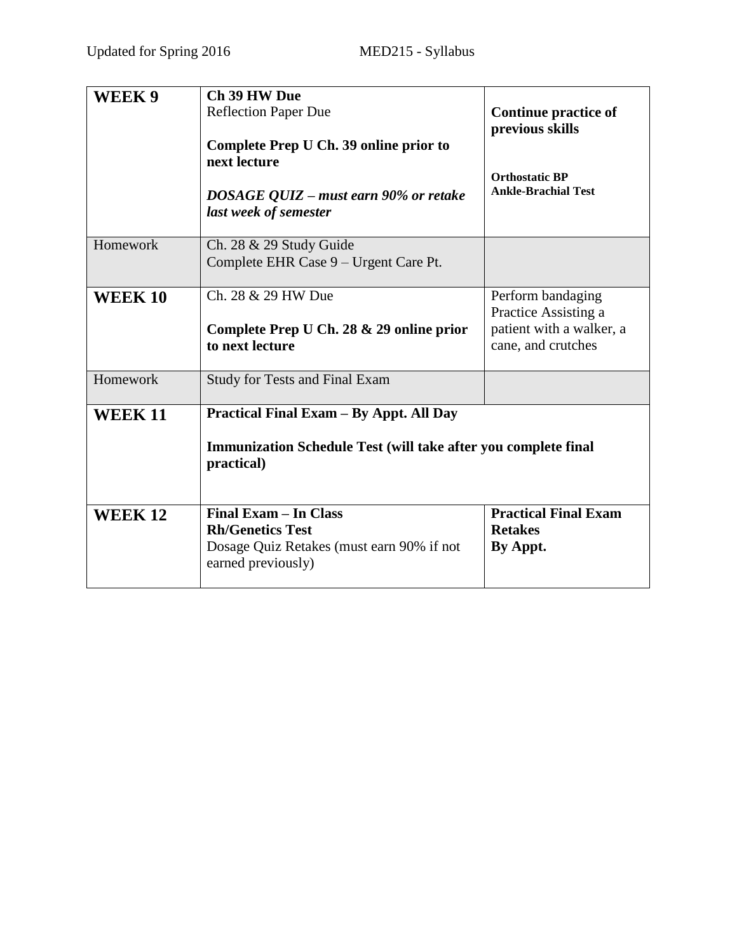| WEEK 9         | Ch 39 HW Due<br><b>Reflection Paper Due</b><br>Complete Prep U Ch. 39 online prior to<br>next lecture<br>DOSAGE QUIZ – must earn 90% or retake<br>last week of semester | <b>Continue practice of</b><br>previous skills<br><b>Orthostatic BP</b><br><b>Ankle-Brachial Test</b> |
|----------------|-------------------------------------------------------------------------------------------------------------------------------------------------------------------------|-------------------------------------------------------------------------------------------------------|
| Homework       | Ch. 28 & 29 Study Guide<br>Complete EHR Case 9 – Urgent Care Pt.                                                                                                        |                                                                                                       |
| <b>WEEK 10</b> | Ch. 28 & 29 HW Due<br>Complete Prep U Ch. 28 & 29 online prior<br>to next lecture                                                                                       | Perform bandaging<br>Practice Assisting a<br>patient with a walker, a<br>cane, and crutches           |
| Homework       | <b>Study for Tests and Final Exam</b>                                                                                                                                   |                                                                                                       |
| <b>WEEK11</b>  | Practical Final Exam - By Appt. All Day<br><b>Immunization Schedule Test (will take after you complete final</b><br>practical)                                          |                                                                                                       |
| <b>WEEK 12</b> | Final Exam - In Class<br><b>Rh/Genetics Test</b><br>Dosage Quiz Retakes (must earn 90% if not<br>earned previously)                                                     | <b>Practical Final Exam</b><br><b>Retakes</b><br>By Appt.                                             |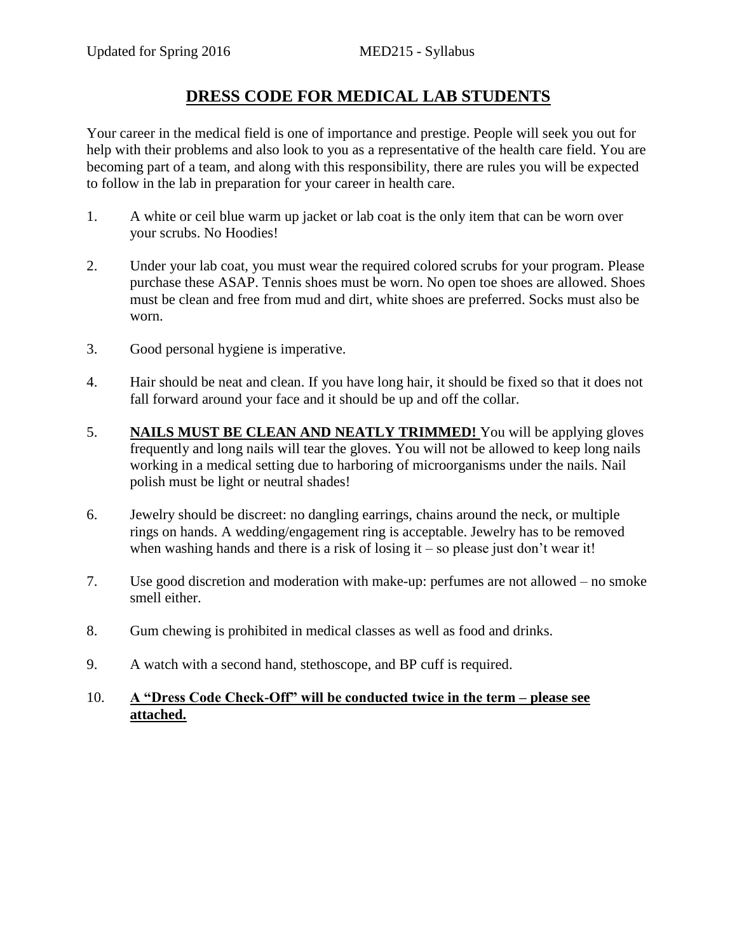# **DRESS CODE FOR MEDICAL LAB STUDENTS**

Your career in the medical field is one of importance and prestige. People will seek you out for help with their problems and also look to you as a representative of the health care field. You are becoming part of a team, and along with this responsibility, there are rules you will be expected to follow in the lab in preparation for your career in health care.

- 1. A white or ceil blue warm up jacket or lab coat is the only item that can be worn over your scrubs. No Hoodies!
- 2. Under your lab coat, you must wear the required colored scrubs for your program. Please purchase these ASAP. Tennis shoes must be worn. No open toe shoes are allowed. Shoes must be clean and free from mud and dirt, white shoes are preferred. Socks must also be worn.
- 3. Good personal hygiene is imperative.
- 4. Hair should be neat and clean. If you have long hair, it should be fixed so that it does not fall forward around your face and it should be up and off the collar.
- 5. **NAILS MUST BE CLEAN AND NEATLY TRIMMED!** You will be applying gloves frequently and long nails will tear the gloves. You will not be allowed to keep long nails working in a medical setting due to harboring of microorganisms under the nails. Nail polish must be light or neutral shades!
- 6. Jewelry should be discreet: no dangling earrings, chains around the neck, or multiple rings on hands. A wedding/engagement ring is acceptable. Jewelry has to be removed when washing hands and there is a risk of losing it – so please just don't wear it!
- 7. Use good discretion and moderation with make-up: perfumes are not allowed no smoke smell either.
- 8. Gum chewing is prohibited in medical classes as well as food and drinks.
- 9. A watch with a second hand, stethoscope, and BP cuff is required.

## 10. **A "Dress Code Check-Off" will be conducted twice in the term – please see attached.**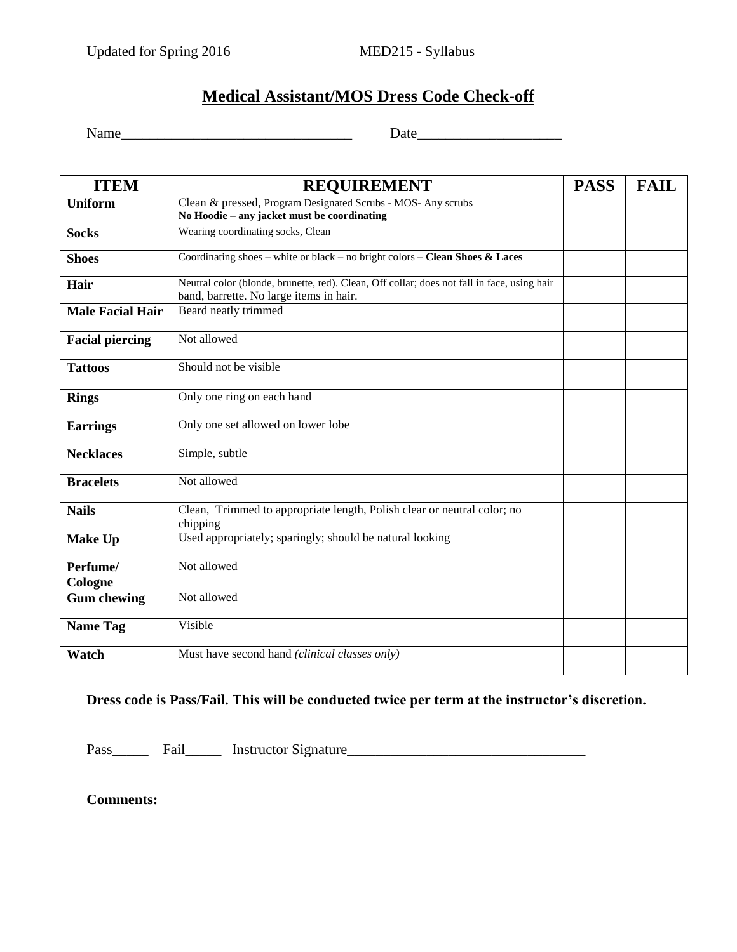# **Medical Assistant/MOS Dress Code Check-off**

Name Date Date Date Development of  $\Gamma$ 

| <b>ITEM</b>                                                                    | <b>REQUIREMENT</b>                                                                          | <b>PASS</b> | <b>FAIL</b> |
|--------------------------------------------------------------------------------|---------------------------------------------------------------------------------------------|-------------|-------------|
| <b>Uniform</b><br>Clean & pressed, Program Designated Scrubs - MOS- Any scrubs |                                                                                             |             |             |
|                                                                                | No Hoodie - any jacket must be coordinating                                                 |             |             |
| <b>Socks</b>                                                                   | Wearing coordinating socks, Clean                                                           |             |             |
| <b>Shoes</b>                                                                   | Coordinating shoes – white or black – no bright colors – Clean Shoes & Laces                |             |             |
| Hair                                                                           | Neutral color (blonde, brunette, red). Clean, Off collar; does not fall in face, using hair |             |             |
|                                                                                | band, barrette. No large items in hair.                                                     |             |             |
| <b>Male Facial Hair</b>                                                        | Beard neatly trimmed                                                                        |             |             |
| <b>Facial piercing</b>                                                         | Not allowed                                                                                 |             |             |
| <b>Tattoos</b>                                                                 | Should not be visible                                                                       |             |             |
| <b>Rings</b>                                                                   | Only one ring on each hand                                                                  |             |             |
| <b>Earrings</b>                                                                | Only one set allowed on lower lobe                                                          |             |             |
| <b>Necklaces</b>                                                               | Simple, subtle                                                                              |             |             |
| <b>Bracelets</b>                                                               | Not allowed                                                                                 |             |             |
| <b>Nails</b>                                                                   | Clean, Trimmed to appropriate length, Polish clear or neutral color; no<br>chipping         |             |             |
| <b>Make Up</b>                                                                 | Used appropriately; sparingly; should be natural looking                                    |             |             |
| Perfume/                                                                       | Not allowed                                                                                 |             |             |
| Cologne                                                                        |                                                                                             |             |             |
| <b>Gum chewing</b>                                                             | Not allowed                                                                                 |             |             |
| <b>Name Tag</b>                                                                | Visible                                                                                     |             |             |
| Watch                                                                          | Must have second hand (clinical classes only)                                               |             |             |

**Dress code is Pass/Fail. This will be conducted twice per term at the instructor's discretion.** 

Pass\_\_\_\_\_ Fail\_\_\_\_\_ Instructor Signature\_\_\_\_\_\_\_\_\_\_\_\_\_\_\_\_\_\_\_\_\_\_\_\_\_\_\_\_\_\_\_\_\_

**Comments:**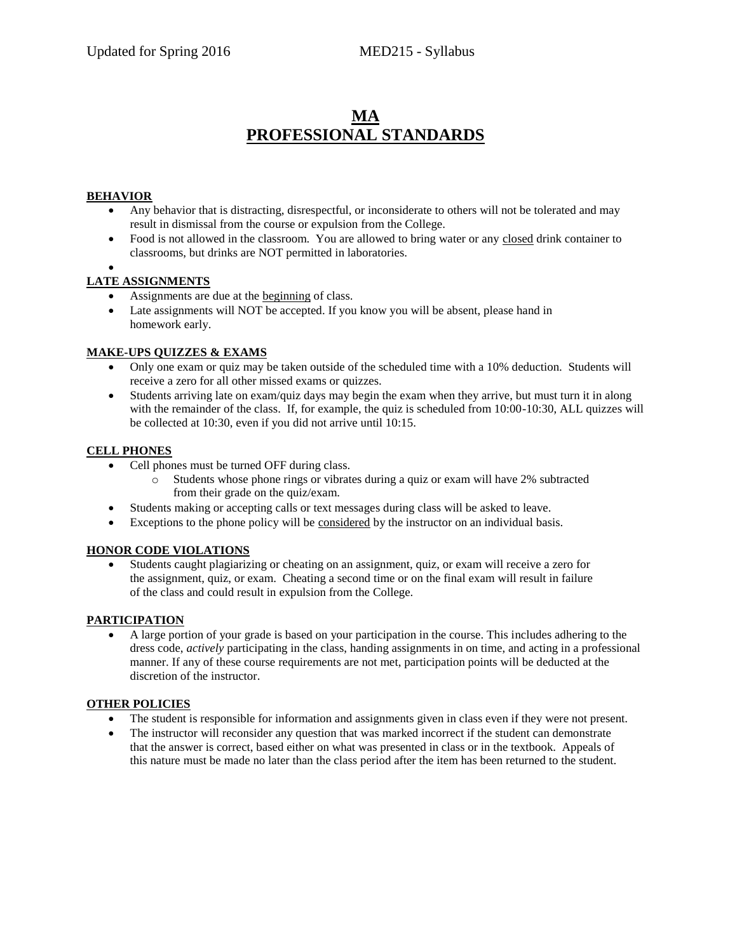# **MA PROFESSIONAL STANDARDS**

#### **BEHAVIOR**

- Any behavior that is distracting, disrespectful, or inconsiderate to others will not be tolerated and may result in dismissal from the course or expulsion from the College.
- Food is not allowed in the classroom. You are allowed to bring water or any closed drink container to classrooms, but drinks are NOT permitted in laboratories.
- $\bullet$

#### **LATE ASSIGNMENTS**

- Assignments are due at the beginning of class.
- Late assignments will NOT be accepted. If you know you will be absent, please hand in homework early.

#### **MAKE-UPS QUIZZES & EXAMS**

- Only one exam or quiz may be taken outside of the scheduled time with a 10% deduction. Students will receive a zero for all other missed exams or quizzes.
- Students arriving late on exam/quiz days may begin the exam when they arrive, but must turn it in along with the remainder of the class. If, for example, the quiz is scheduled from 10:00-10:30, ALL quizzes will be collected at 10:30, even if you did not arrive until 10:15.

#### **CELL PHONES**

- Cell phones must be turned OFF during class.
	- o Students whose phone rings or vibrates during a quiz or exam will have 2% subtracted from their grade on the quiz/exam.
- Students making or accepting calls or text messages during class will be asked to leave.
- Exceptions to the phone policy will be considered by the instructor on an individual basis.

#### **HONOR CODE VIOLATIONS**

 Students caught plagiarizing or cheating on an assignment, quiz, or exam will receive a zero for the assignment, quiz, or exam. Cheating a second time or on the final exam will result in failure of the class and could result in expulsion from the College.

#### **PARTICIPATION**

 A large portion of your grade is based on your participation in the course. This includes adhering to the dress code, *actively* participating in the class, handing assignments in on time, and acting in a professional manner. If any of these course requirements are not met, participation points will be deducted at the discretion of the instructor.

#### **OTHER POLICIES**

- The student is responsible for information and assignments given in class even if they were not present.
- The instructor will reconsider any question that was marked incorrect if the student can demonstrate that the answer is correct, based either on what was presented in class or in the textbook. Appeals of this nature must be made no later than the class period after the item has been returned to the student.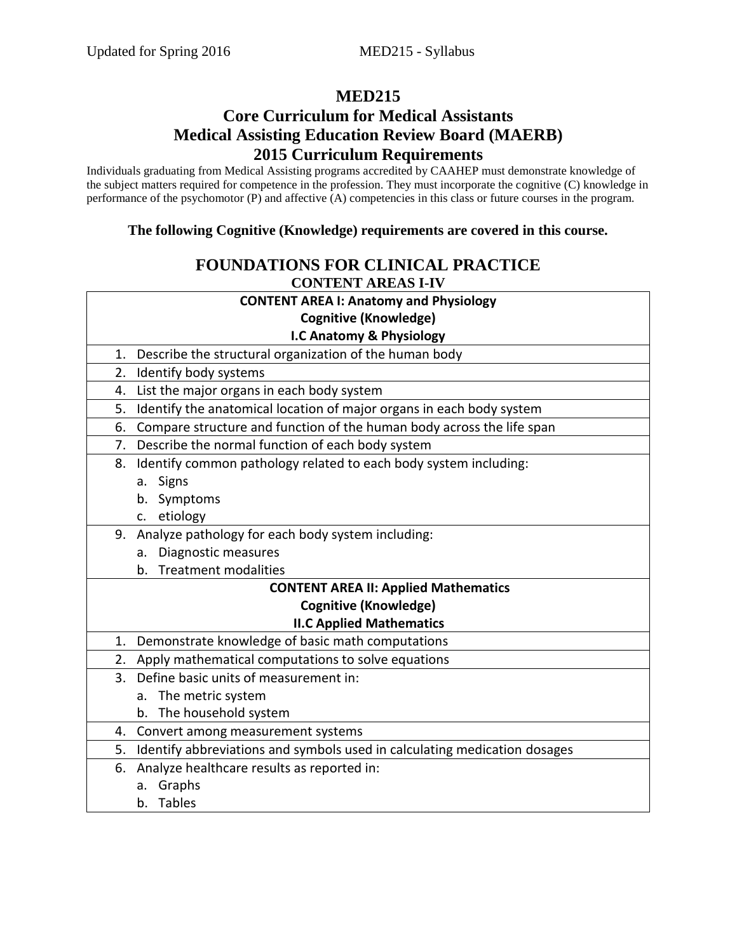# **MED215**

# **Core Curriculum for Medical Assistants Medical Assisting Education Review Board (MAERB) 2015 Curriculum Requirements**

Individuals graduating from Medical Assisting programs accredited by CAAHEP must demonstrate knowledge of the subject matters required for competence in the profession. They must incorporate the cognitive (C) knowledge in performance of the psychomotor (P) and affective (A) competencies in this class or future courses in the program.

### **The following Cognitive (Knowledge) requirements are covered in this course.**

## **FOUNDATIONS FOR CLINICAL PRACTICE CONTENT AREAS I-IV**

| <b>CONTENT AREA I: Anatomy and Physiology</b>                                   |  |
|---------------------------------------------------------------------------------|--|
| <b>Cognitive (Knowledge)</b>                                                    |  |
| I.C Anatomy & Physiology                                                        |  |
| Describe the structural organization of the human body<br>1.                    |  |
| Identify body systems<br>2.                                                     |  |
| List the major organs in each body system<br>4.                                 |  |
| Identify the anatomical location of major organs in each body system<br>5.      |  |
| Compare structure and function of the human body across the life span<br>6.     |  |
| Describe the normal function of each body system<br>7.                          |  |
| Identify common pathology related to each body system including:<br>8.          |  |
| a. Signs                                                                        |  |
| b. Symptoms                                                                     |  |
| c. etiology                                                                     |  |
| Analyze pathology for each body system including:<br>9.                         |  |
| a. Diagnostic measures                                                          |  |
| b. Treatment modalities                                                         |  |
| <b>CONTENT AREA II: Applied Mathematics</b>                                     |  |
| <b>Cognitive (Knowledge)</b>                                                    |  |
| <b>II.C Applied Mathematics</b>                                                 |  |
| Demonstrate knowledge of basic math computations<br>1.                          |  |
| 2. Apply mathematical computations to solve equations                           |  |
| 3. Define basic units of measurement in:                                        |  |
| a. The metric system                                                            |  |
| b. The household system                                                         |  |
| Convert among measurement systems<br>4.                                         |  |
| Identify abbreviations and symbols used in calculating medication dosages<br>5. |  |
| Analyze healthcare results as reported in:<br>6.                                |  |
| a. Graphs                                                                       |  |
| <b>Tables</b><br>b.                                                             |  |
|                                                                                 |  |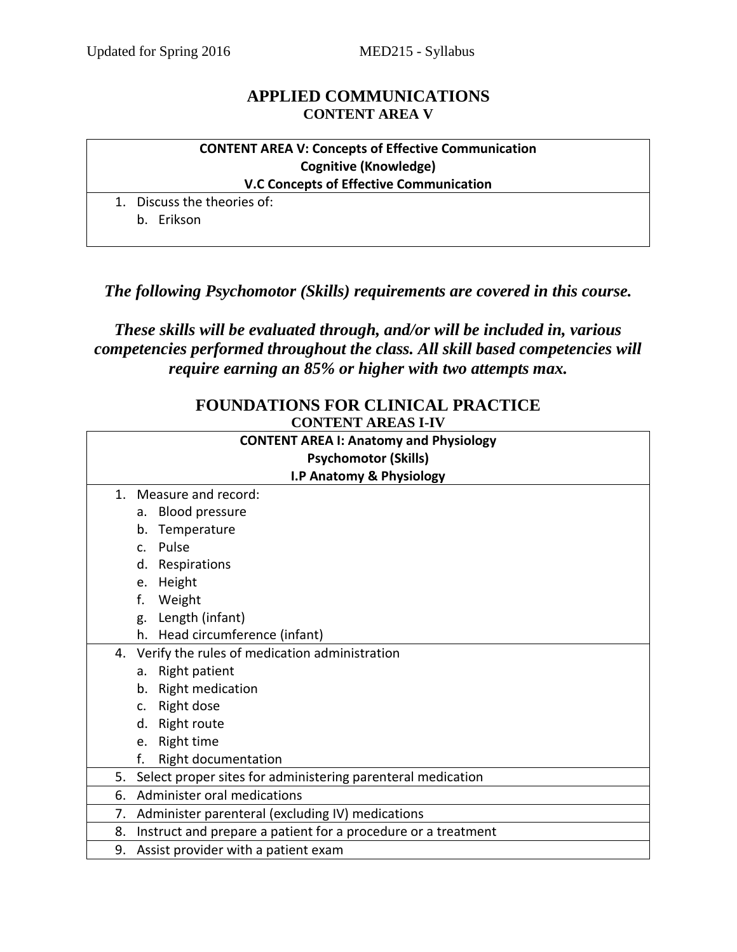## **APPLIED COMMUNICATIONS CONTENT AREA V**

### **CONTENT AREA V: Concepts of Effective Communication Cognitive (Knowledge) V.C Concepts of Effective Communication**

1. Discuss the theories of:

b. Erikson

## *The following Psychomotor (Skills) requirements are covered in this course.*

# *These skills will be evaluated through, and/or will be included in, various competencies performed throughout the class. All skill based competencies will require earning an 85% or higher with two attempts max.*

## **FOUNDATIONS FOR CLINICAL PRACTICE CONTENT AREAS I-IV**

| <b>CONTENT AREA I: Anatomy and Physiology</b><br><b>Psychomotor (Skills)</b> |                                                               |  |
|------------------------------------------------------------------------------|---------------------------------------------------------------|--|
|                                                                              | I.P Anatomy & Physiology                                      |  |
| $\mathbf{1}$ .                                                               | Measure and record:                                           |  |
|                                                                              | a. Blood pressure                                             |  |
|                                                                              | b. Temperature                                                |  |
| C <sub>1</sub>                                                               | Pulse                                                         |  |
| d.                                                                           | Respirations                                                  |  |
| e.                                                                           | Height                                                        |  |
| f.                                                                           | Weight                                                        |  |
| g.                                                                           | Length (infant)                                               |  |
|                                                                              | h. Head circumference (infant)                                |  |
|                                                                              | 4. Verify the rules of medication administration              |  |
| а.                                                                           | Right patient                                                 |  |
| $b_{-}$                                                                      | <b>Right medication</b>                                       |  |
| $\mathsf{C}$ .                                                               | Right dose                                                    |  |
| d.                                                                           | <b>Right route</b>                                            |  |
| e.                                                                           | Right time                                                    |  |
| f.                                                                           | Right documentation                                           |  |
| 5.                                                                           | Select proper sites for administering parenteral medication   |  |
| 6.                                                                           | Administer oral medications                                   |  |
| 7.                                                                           | Administer parenteral (excluding IV) medications              |  |
| 8.                                                                           | Instruct and prepare a patient for a procedure or a treatment |  |
| 9.                                                                           | Assist provider with a patient exam                           |  |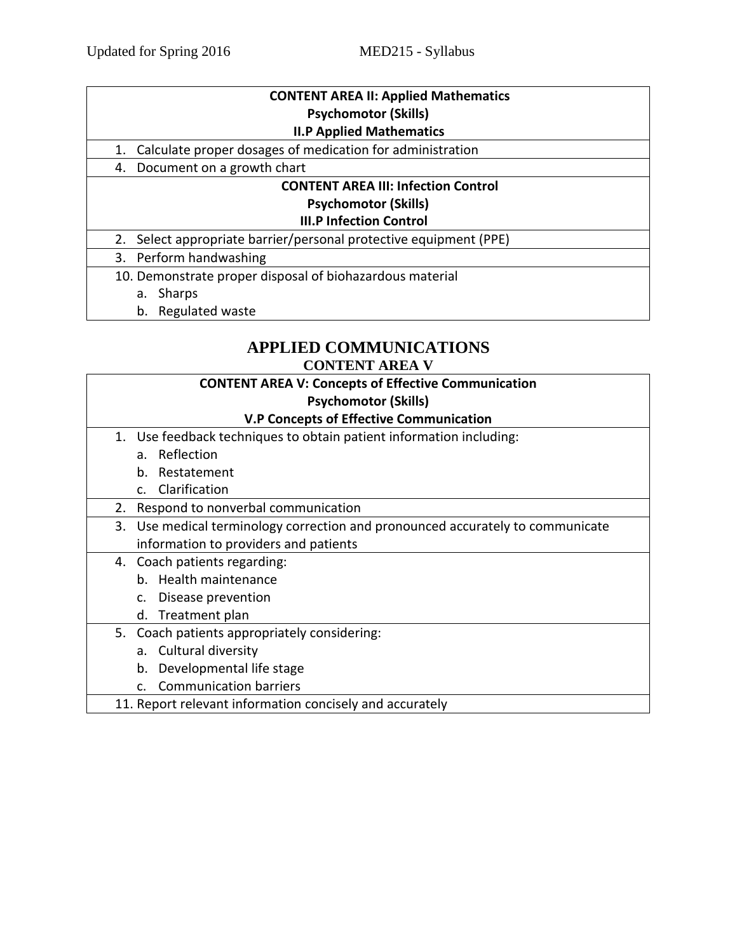| <b>CONTENT AREA II: Applied Mathematics</b> |  |
|---------------------------------------------|--|
| <b>Psychomotor (Skills)</b>                 |  |
|                                             |  |

#### **II.P Applied Mathematics**

- 1. Calculate proper dosages of medication for administration
- 4. Document on a growth chart

## **CONTENT AREA III: Infection Control Psychomotor (Skills)**

## **III.P Infection Control**

2. Select appropriate barrier/personal protective equipment (PPE)

3. Perform handwashing

- 10. Demonstrate proper disposal of biohazardous material
	- a. Sharps
	- b. Regulated waste

#### **APPLIED COMMUNICATIONS CONTENT AREA V**

|    | <b>CONTENT AREA V: Concepts of Effective Communication</b>                     |
|----|--------------------------------------------------------------------------------|
|    | <b>Psychomotor (Skills)</b>                                                    |
|    | <b>V.P Concepts of Effective Communication</b>                                 |
|    | 1. Use feedback techniques to obtain patient information including:            |
|    | a. Reflection                                                                  |
|    | Restatement<br>b.                                                              |
|    | Clarification<br>$C_{\cdot}$                                                   |
| 2. | Respond to nonverbal communication                                             |
|    | 3. Use medical terminology correction and pronounced accurately to communicate |
|    | information to providers and patients                                          |
|    | 4. Coach patients regarding:                                                   |
|    | b. Health maintenance                                                          |
|    | Disease prevention<br>c.                                                       |
|    | d. Treatment plan                                                              |
|    | 5. Coach patients appropriately considering:                                   |
|    | a. Cultural diversity                                                          |
|    | Developmental life stage<br>b.                                                 |
|    | <b>Communication barriers</b><br>C.                                            |
|    | 11. Report relevant information concisely and accurately                       |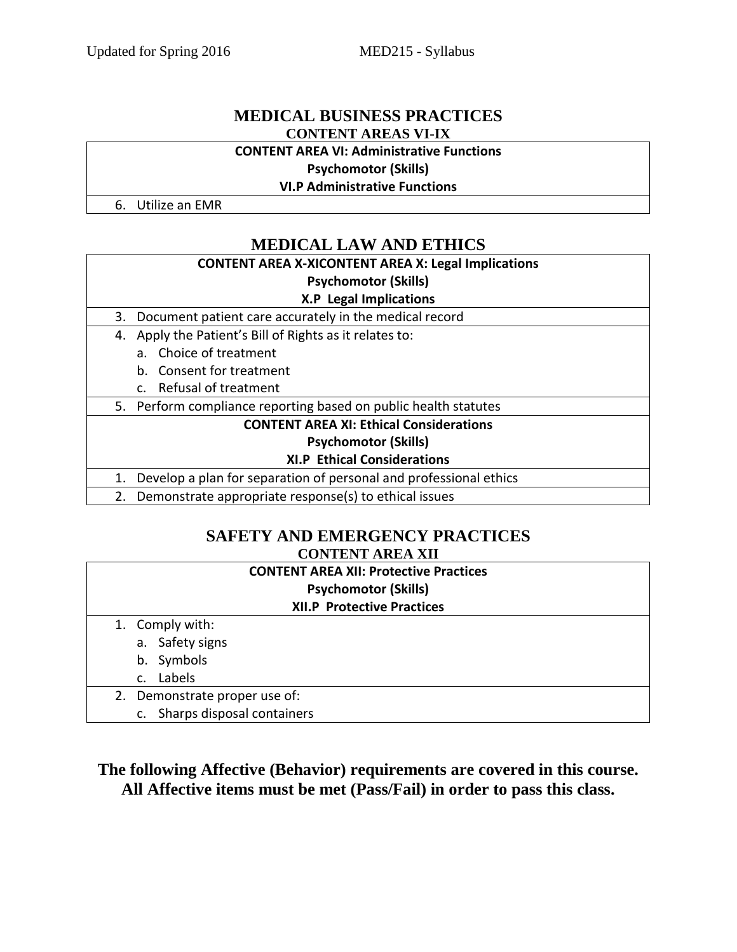## **MEDICAL BUSINESS PRACTICES CONTENT AREAS VI-IX**

#### **CONTENT AREA VI: Administrative Functions**

**Psychomotor (Skills)**

**VI.P Administrative Functions**

6. Utilize an EMR

# **MEDICAL LAW AND ETHICS**

## **CONTENT AREA X-XICONTENT AREA X: Legal Implications Psychomotor (Skills) X.P Legal Implications**

- 3. Document patient care accurately in the medical record
	- 4. Apply the Patient's Bill of Rights as it relates to:
		- a. Choice of treatment
		- b. Consent for treatment
		- c. Refusal of treatment

5. Perform compliance reporting based on public health statutes

**CONTENT AREA XI: Ethical Considerations**

#### **Psychomotor (Skills)**

#### **XI.P Ethical Considerations**

1. Develop a plan for separation of personal and professional ethics

2. Demonstrate appropriate response(s) to ethical issues

## **SAFETY AND EMERGENCY PRACTICES CONTENT AREA XII**

| <b>CONTENT AREA XII: Protective Practices</b> |  |  |
|-----------------------------------------------|--|--|
| <b>Psychomotor (Skills)</b>                   |  |  |
| <b>XII.P Protective Practices</b>             |  |  |
| 1. Comply with:                               |  |  |
| a. Safety signs                               |  |  |
| b. Symbols                                    |  |  |
| Labels<br>C <sub>1</sub>                      |  |  |
| 2. Demonstrate proper use of:                 |  |  |
| Sharps disposal containers                    |  |  |

## **The following Affective (Behavior) requirements are covered in this course. All Affective items must be met (Pass/Fail) in order to pass this class.**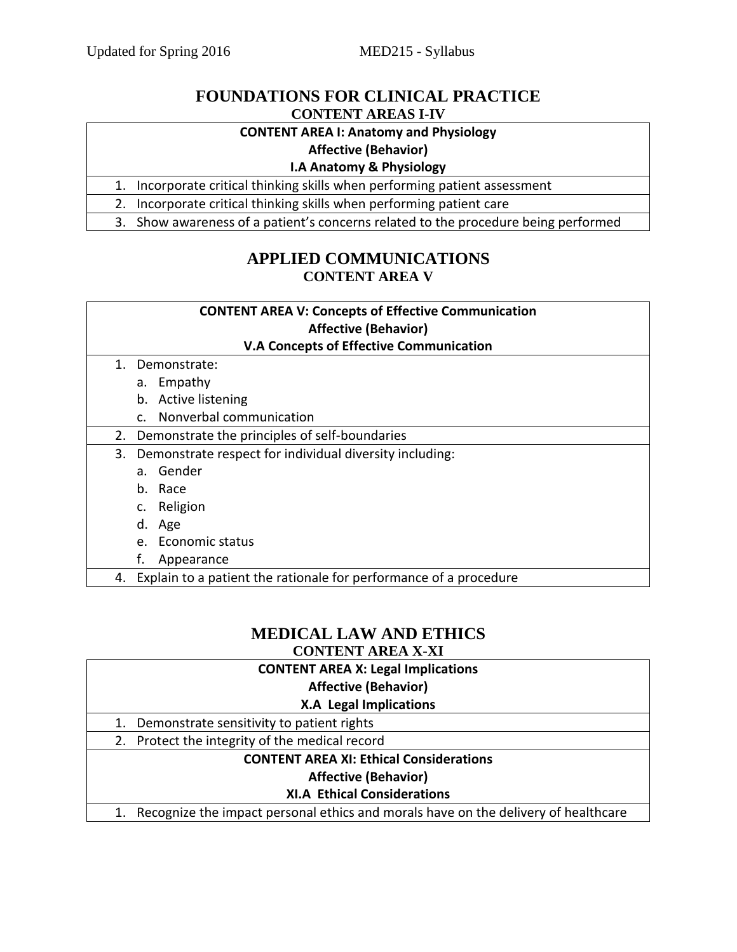## **FOUNDATIONS FOR CLINICAL PRACTICE CONTENT AREAS I-IV**

## **CONTENT AREA I: Anatomy and Physiology**

## **Affective (Behavior)**

#### **I.A Anatomy & Physiology**

1. Incorporate critical thinking skills when performing patient assessment

2. Incorporate critical thinking skills when performing patient care

3. Show awareness of a patient's concerns related to the procedure being performed

## **APPLIED COMMUNICATIONS CONTENT AREA V**

| <b>CONTENT AREA V: Concepts of Effective Communication</b>              |  |
|-------------------------------------------------------------------------|--|
| <b>Affective (Behavior)</b>                                             |  |
| <b>V.A Concepts of Effective Communication</b>                          |  |
| 1. Demonstrate:                                                         |  |
| a. Empathy                                                              |  |
| b. Active listening                                                     |  |
| c. Nonverbal communication                                              |  |
| Demonstrate the principles of self-boundaries<br>2.                     |  |
| Demonstrate respect for individual diversity including:<br>3.           |  |
| a. Gender                                                               |  |
| b. Race                                                                 |  |
| c. Religion                                                             |  |
| d. Age                                                                  |  |
| e. Economic status                                                      |  |
| Appearance                                                              |  |
| Explain to a patient the rationale for performance of a procedure<br>4. |  |

# **MEDICAL LAW AND ETHICS**

**CONTENT AREA X-XI**

| <b>CONTENT AREA X: Legal Implications</b>                                          |
|------------------------------------------------------------------------------------|
| <b>Affective (Behavior)</b>                                                        |
| <b>X.A Legal Implications</b>                                                      |
| 1. Demonstrate sensitivity to patient rights                                       |
| 2. Protect the integrity of the medical record                                     |
| <b>CONTENT AREA XI: Ethical Considerations</b>                                     |
| <b>Affective (Behavior)</b>                                                        |
| <b>XI.A Ethical Considerations</b>                                                 |
| Recognize the impact personal ethics and morals have on the delivery of healthcare |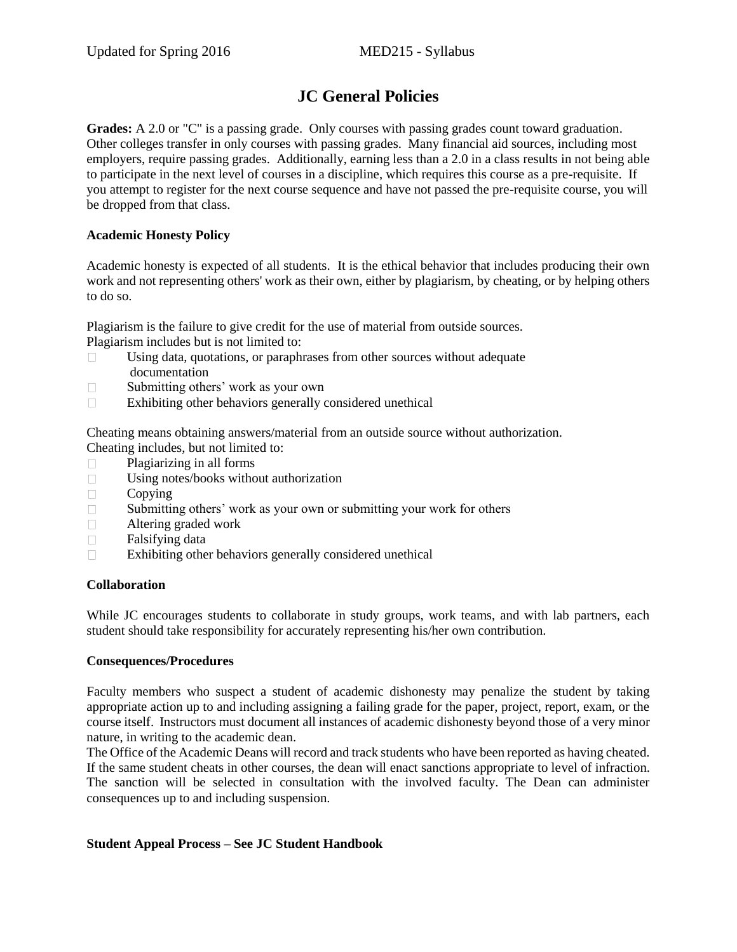# **JC General Policies**

**Grades:** A 2.0 or "C" is a passing grade. Only courses with passing grades count toward graduation. Other colleges transfer in only courses with passing grades. Many financial aid sources, including most employers, require passing grades. Additionally, earning less than a 2.0 in a class results in not being able to participate in the next level of courses in a discipline, which requires this course as a pre-requisite. If you attempt to register for the next course sequence and have not passed the pre-requisite course, you will be dropped from that class.

#### **Academic Honesty Policy**

Academic honesty is expected of all students. It is the ethical behavior that includes producing their own work and not representing others' work as their own, either by plagiarism, by cheating, or by helping others to do so.

Plagiarism is the failure to give credit for the use of material from outside sources.

Plagiarism includes but is not limited to:

- $\Box$  Using data, quotations, or paraphrases from other sources without adequate documentation
- $\Box$  Submitting others' work as your own
- $\Box$  Exhibiting other behaviors generally considered unethical

Cheating means obtaining answers/material from an outside source without authorization. Cheating includes, but not limited to:

- Plagiarizing in all forms
- Using notes/books without authorization
- $\Box$  Copying
- $\Box$  Submitting others' work as your own or submitting your work for others
- Altering graded work
- $\Box$  Falsifying data
- $\Box$  Exhibiting other behaviors generally considered unethical

#### **Collaboration**

While JC encourages students to collaborate in study groups, work teams, and with lab partners, each student should take responsibility for accurately representing his/her own contribution.

#### **Consequences/Procedures**

Faculty members who suspect a student of academic dishonesty may penalize the student by taking appropriate action up to and including assigning a failing grade for the paper, project, report, exam, or the course itself. Instructors must document all instances of academic dishonesty beyond those of a very minor nature, in writing to the academic dean.

The Office of the Academic Deans will record and track students who have been reported as having cheated. If the same student cheats in other courses, the dean will enact sanctions appropriate to level of infraction. The sanction will be selected in consultation with the involved faculty. The Dean can administer consequences up to and including suspension.

#### **Student Appeal Process – See JC Student Handbook**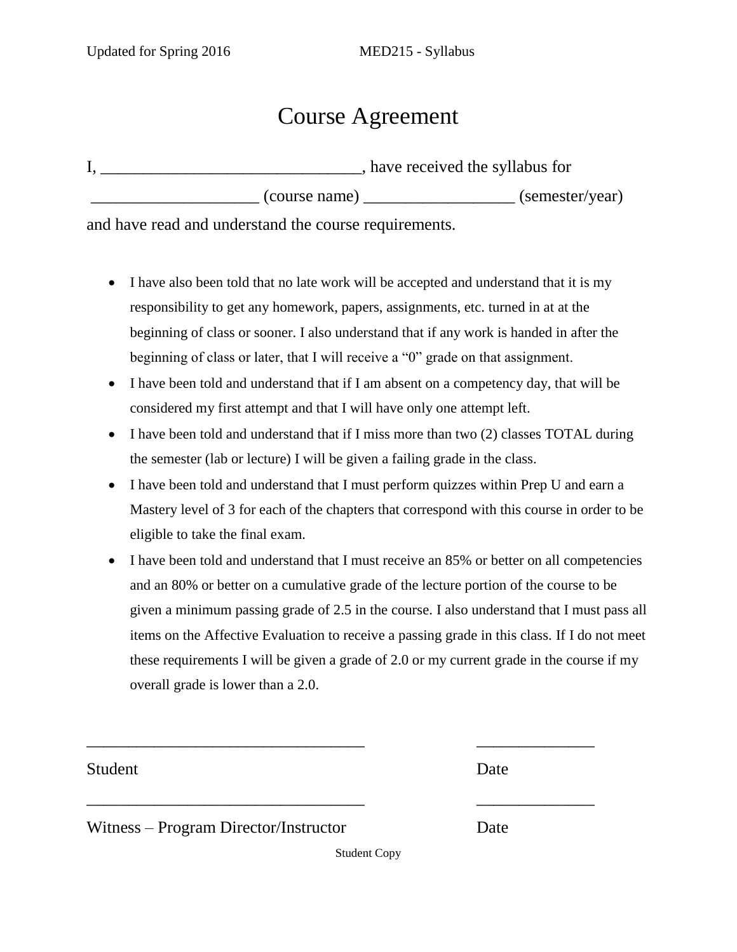# Course Agreement

|               | , have received the syllabus for |  |
|---------------|----------------------------------|--|
| (course name) | (semester/year)                  |  |

and have read and understand the course requirements.

- I have also been told that no late work will be accepted and understand that it is my responsibility to get any homework, papers, assignments, etc. turned in at at the beginning of class or sooner. I also understand that if any work is handed in after the beginning of class or later, that I will receive a "0" grade on that assignment.
- I have been told and understand that if I am absent on a competency day, that will be considered my first attempt and that I will have only one attempt left.
- I have been told and understand that if I miss more than two (2) classes TOTAL during the semester (lab or lecture) I will be given a failing grade in the class.
- I have been told and understand that I must perform quizzes within Prep U and earn a Mastery level of 3 for each of the chapters that correspond with this course in order to be eligible to take the final exam.
- I have been told and understand that I must receive an 85% or better on all competencies and an 80% or better on a cumulative grade of the lecture portion of the course to be given a minimum passing grade of 2.5 in the course. I also understand that I must pass all items on the Affective Evaluation to receive a passing grade in this class. If I do not meet these requirements I will be given a grade of 2.0 or my current grade in the course if my overall grade is lower than a 2.0.

Student Date

Witness – Program Director/Instructor Date

Student Copy

\_\_\_\_\_\_\_\_\_\_\_\_\_\_\_\_\_\_\_\_\_\_\_\_\_\_\_\_\_\_\_\_\_ \_\_\_\_\_\_\_\_\_\_\_\_\_\_

\_\_\_\_\_\_\_\_\_\_\_\_\_\_\_\_\_\_\_\_\_\_\_\_\_\_\_\_\_\_\_\_\_ \_\_\_\_\_\_\_\_\_\_\_\_\_\_